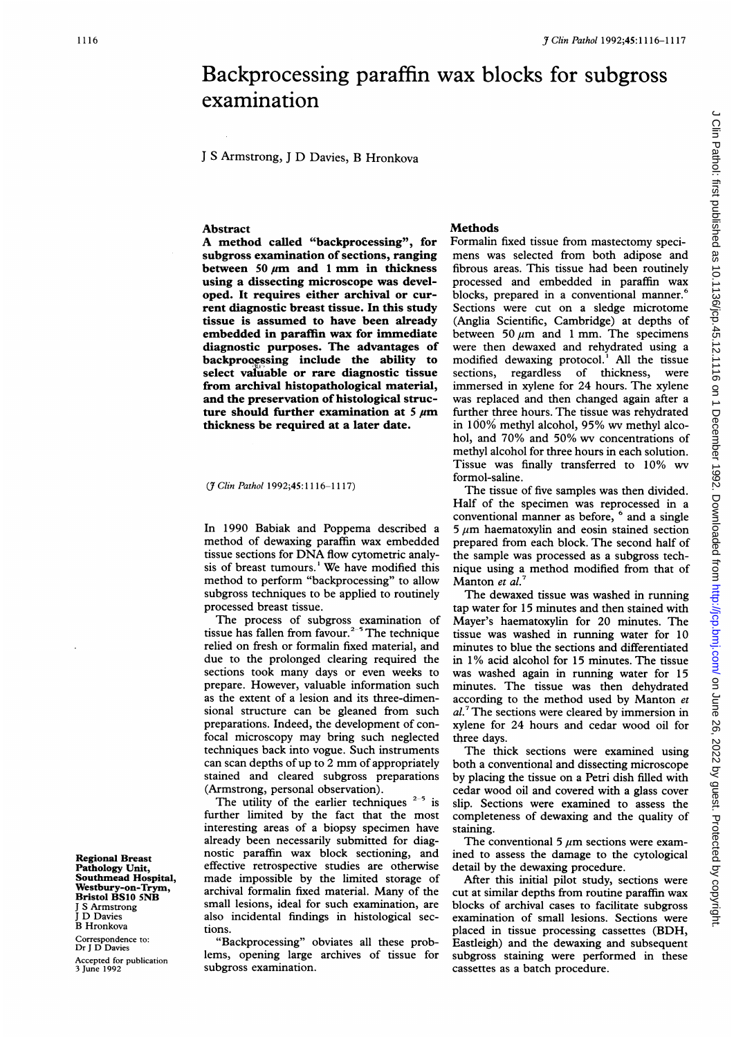# *3 Clin Pathol 1992;45:1116-1117*<br> **1110-1117**<br> **1210-1117**<br> **1210-1117**<br> **1310-1117**<br> **1310-1117**<br> **1510-1117**<br> **1510-1117**<br> **1521-1118**<br> **1521-1118**<br> **1521-1118**<br> **1521-1118**<br> **1521-1118**<br> **1521-1118**<br> **1531-1118**<br> **1531** Backprocessing paraffin wax blocks for subgross examination

<sup>J</sup> <sup>S</sup> Armstrong, <sup>J</sup> D Davies, B Hronkova

# **Abstract**

A method called "backprocessing", for subgross examination of sections, ranging between 50  $\mu$ m and 1 mm in thickness using a dissecting microscope was developed. It requires either archival or current diagnostic breast tissue. In this study tissue is assumed to have been already embedded in paraffin wax for immediate diagnostic purposes. The advantages of backprocessing include the ability to select valuable or rare diagnostic tissue from archival histopathological material, and the preservation of histological structure should further examination at 5  $\mu$ m thickness be required at a later date.

### (*J Clin Pathol* 1992;45:1116-1117)

In 1990 Babiak and Poppema described a method of dewaxing paraffin wax embedded tissue sections for DNA flow cytometric analysis of breast tumours.' We have modified this method to perform "backprocessing" to allow subgross techniques to be applied to routinely processed breast tissue.

The process of subgross examination of tissue has fallen from favour. $2-5$  The technique relied on fresh or formalin fixed material, and due to the prolonged clearing required the sections took many days or even weeks to prepare. However, valuable information such as the extent of a lesion and its three-dimensional structure can be gleaned from such preparations. Indeed, the development of confocal microscopy may bring such neglected techniques back into vogue. Such instruments can scan depths of up to <sup>2</sup> mm of appropriately stained and cleared subgross preparations (Armstrong, personal observation).

The utility of the earlier techniques  $2-5$  is further limited by the fact that the most interesting areas of a biopsy specimen have already been necessarily submitted for diagnostic paraffin wax block sectioning, and effective retrospective studies are otherwise made impossible by the limited storage of archival formalin fixed material. Many of the small lesions, ideal for such examination, are also incidental findings in histological sections.

"Backprocessing" obviates all these problems, opening large archives of tissue for subgross examination.

# **Methods**

Formalin fixed tissue from mastectomy specimens was selected from both adipose and fibrous areas. This tissue had been routinely processed and embedded in paraffin wax blocks, prepared in <sup>a</sup> conventional manner.' Sections were cut on a sledge microtome (Anglia Scientific, Cambridge) at depths of between 50  $\mu$ m and 1 mm. The specimens were then dewaxed and rehydrated using a modified dewaxing protocol.' All the tissue sections, regardless of thickness, were immersed in xylene for 24 hours. The xylene was replaced and then changed again after a further three hours. The tissue was rehydrated in 100% methyl alcohol, 95% wv methyl alcohol, and 70% and 50% wv concentrations of methyl alcohol for three hours in each solution. Tissue was finally transferred to 10% wv formol-saline.

The tissue of five samples was then divided. Half of the specimen was reprocessed in a conventional manner as before, <sup>6</sup> and a single  $5 \mu m$  haematoxylin and eosin stained section prepared from each block. The second half of the sample was processed as a subgross technique using a method modified from that of Manton et al.

The dewaxed tissue was washed in running tap water for 15 minutes and then stained with Mayer's haematoxylin for 20 minutes. The tissue was washed in running water for 10 minutes to blue the sections and differentiated in 1% acid alcohol for 15 minutes. The tissue was washed again in running water for 15 minutes. The tissue was then dehydrated according to the method used by Manton et al.<sup>7</sup> The sections were cleared by immersion in xylene for 24 hours and cedar wood oil for three days.

The thick sections were examined using both a conventional and dissecting microscope by placing the tissue on a Petri dish filled with cedar wood oil and covered with a glass cover slip. Sections were examined to assess the completeness of dewaxing and the quality of staining.

The conventional 5  $\mu$ m sections were examined to assess the damage to the cytological detail by the dewaxing procedure.

After this initial pilot study, sections were cut at similar depths from routine paraffin wax blocks of archival cases to facilitate subgross examination of small lesions. Sections were placed in tissue processing cassettes (BDH, Eastleigh) and the dewaxing and subsequent subgross staining were performed in these cassettes as a batch procedure.

Regional Breast Pathology Unit, Southmead Hospital, Westbury-on-Trym, Bristol BS10 5NB <sup>J</sup> S Armstrong <sup>J</sup> D Davies B Hronkova

Correspondence to: Dr J D Davies

Accepted for publication 3 June 1992